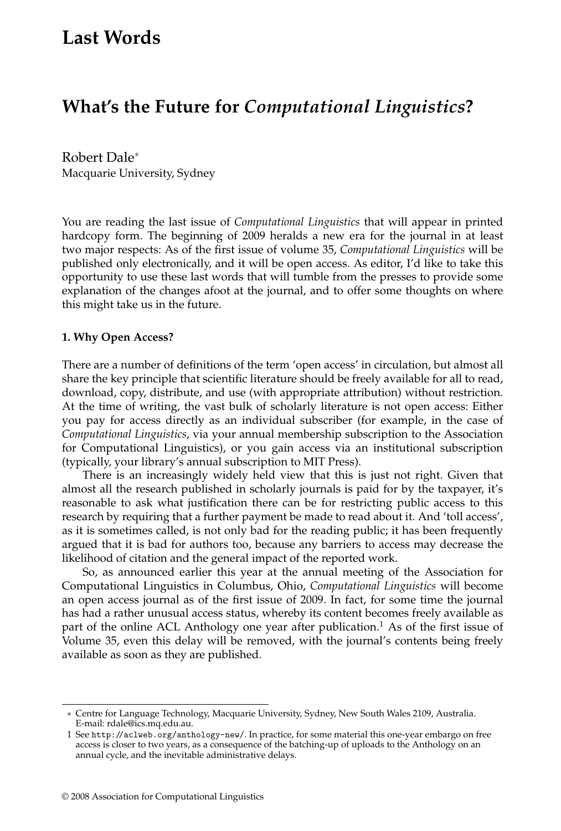# **Last Words**

## **What's the Future for** *Computational Linguistics***?**

Robert Dale<sup>∗</sup> Macquarie University, Sydney

You are reading the last issue of *Computational Linguistics* that will appear in printed hardcopy form. The beginning of 2009 heralds a new era for the journal in at least two major respects: As of the first issue of volume 35, *Computational Linguistics* will be published only electronically, and it will be open access. As editor, I'd like to take this opportunity to use these last words that will tumble from the presses to provide some explanation of the changes afoot at the journal, and to offer some thoughts on where this might take us in the future.

#### **1. Why Open Access?**

There are a number of definitions of the term 'open access' in circulation, but almost all share the key principle that scientific literature should be freely available for all to read, download, copy, distribute, and use (with appropriate attribution) without restriction. At the time of writing, the vast bulk of scholarly literature is not open access: Either you pay for access directly as an individual subscriber (for example, in the case of *Computational Linguistics*, via your annual membership subscription to the Association for Computational Linguistics), or you gain access via an institutional subscription (typically, your library's annual subscription to MIT Press).

There is an increasingly widely held view that this is just not right. Given that almost all the research published in scholarly journals is paid for by the taxpayer, it's reasonable to ask what justification there can be for restricting public access to this research by requiring that a further payment be made to read about it. And 'toll access', as it is sometimes called, is not only bad for the reading public; it has been frequently argued that it is bad for authors too, because any barriers to access may decrease the likelihood of citation and the general impact of the reported work.

So, as announced earlier this year at the annual meeting of the Association for Computational Linguistics in Columbus, Ohio, *Computational Linguistics* will become an open access journal as of the first issue of 2009. In fact, for some time the journal has had a rather unusual access status, whereby its content becomes freely available as part of the online ACL Anthology one year after publication.<sup>1</sup> As of the first issue of Volume 35, even this delay will be removed, with the journal's contents being freely available as soon as they are published.

<sup>∗</sup> Centre for Language Technology, Macquarie University, Sydney, New South Wales 2109, Australia. E-mail: rdale@ics.mq.edu.au.

<sup>1</sup> See http://aclweb.org/anthology-new/. In practice, for some material this one-year embargo on free access is closer to two years, as a consequence of the batching-up of uploads to the Anthology on an annual cycle, and the inevitable administrative delays.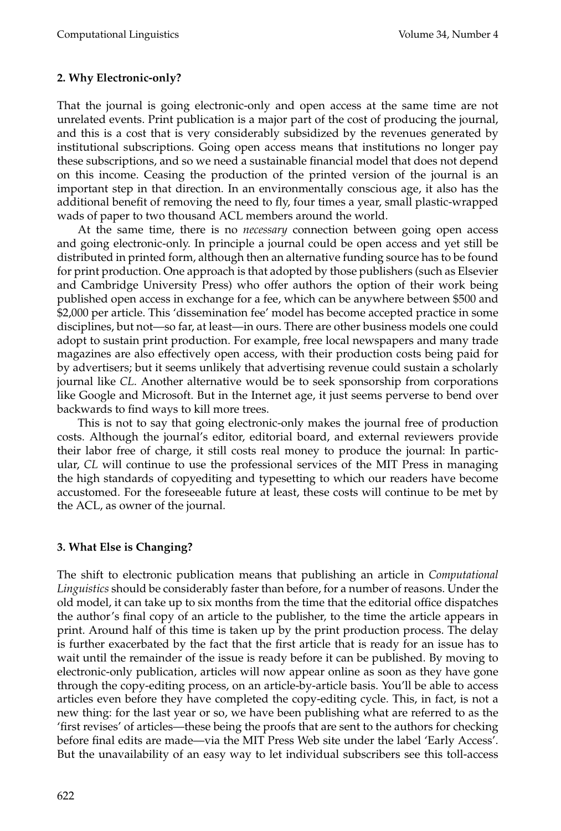### **2. Why Electronic-only?**

That the journal is going electronic-only and open access at the same time are not unrelated events. Print publication is a major part of the cost of producing the journal, and this is a cost that is very considerably subsidized by the revenues generated by institutional subscriptions. Going open access means that institutions no longer pay these subscriptions, and so we need a sustainable financial model that does not depend on this income. Ceasing the production of the printed version of the journal is an important step in that direction. In an environmentally conscious age, it also has the additional benefit of removing the need to fly, four times a year, small plastic-wrapped wads of paper to two thousand ACL members around the world.

At the same time, there is no *necessary* connection between going open access and going electronic-only. In principle a journal could be open access and yet still be distributed in printed form, although then an alternative funding source has to be found for print production. One approach is that adopted by those publishers (such as Elsevier and Cambridge University Press) who offer authors the option of their work being published open access in exchange for a fee, which can be anywhere between \$500 and \$2,000 per article. This 'dissemination fee' model has become accepted practice in some disciplines, but not—so far, at least—in ours. There are other business models one could adopt to sustain print production. For example, free local newspapers and many trade magazines are also effectively open access, with their production costs being paid for by advertisers; but it seems unlikely that advertising revenue could sustain a scholarly journal like *CL*. Another alternative would be to seek sponsorship from corporations like Google and Microsoft. But in the Internet age, it just seems perverse to bend over backwards to find ways to kill more trees.

This is not to say that going electronic-only makes the journal free of production costs. Although the journal's editor, editorial board, and external reviewers provide their labor free of charge, it still costs real money to produce the journal: In particular, *CL* will continue to use the professional services of the MIT Press in managing the high standards of copyediting and typesetting to which our readers have become accustomed. For the foreseeable future at least, these costs will continue to be met by the ACL, as owner of the journal.

### **3. What Else is Changing?**

The shift to electronic publication means that publishing an article in *Computational Linguistics* should be considerably faster than before, for a number of reasons. Under the old model, it can take up to six months from the time that the editorial office dispatches the author's final copy of an article to the publisher, to the time the article appears in print. Around half of this time is taken up by the print production process. The delay is further exacerbated by the fact that the first article that is ready for an issue has to wait until the remainder of the issue is ready before it can be published. By moving to electronic-only publication, articles will now appear online as soon as they have gone through the copy-editing process, on an article-by-article basis. You'll be able to access articles even before they have completed the copy-editing cycle. This, in fact, is not a new thing: for the last year or so, we have been publishing what are referred to as the 'first revises' of articles—these being the proofs that are sent to the authors for checking before final edits are made—via the MIT Press Web site under the label 'Early Access'. But the unavailability of an easy way to let individual subscribers see this toll-access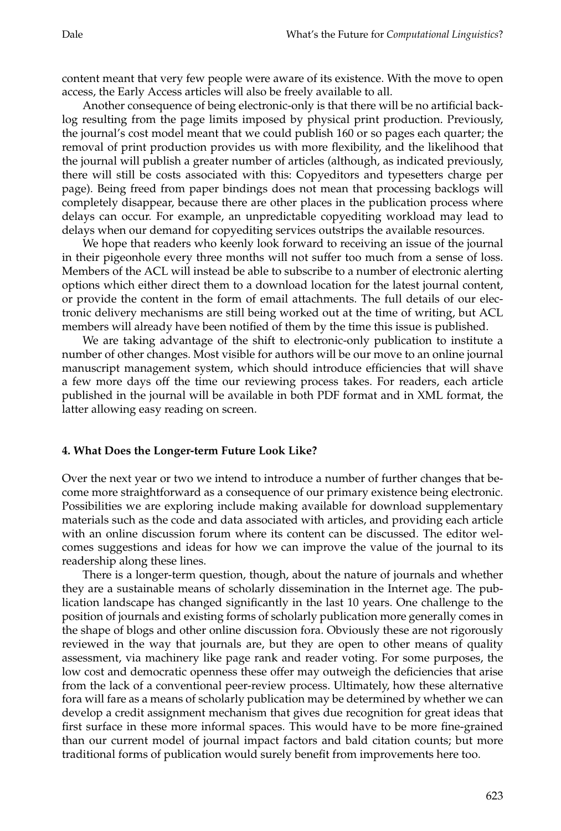content meant that very few people were aware of its existence. With the move to open access, the Early Access articles will also be freely available to all.

Another consequence of being electronic-only is that there will be no artificial backlog resulting from the page limits imposed by physical print production. Previously, the journal's cost model meant that we could publish 160 or so pages each quarter; the removal of print production provides us with more flexibility, and the likelihood that the journal will publish a greater number of articles (although, as indicated previously, there will still be costs associated with this: Copyeditors and typesetters charge per page). Being freed from paper bindings does not mean that processing backlogs will completely disappear, because there are other places in the publication process where delays can occur. For example, an unpredictable copyediting workload may lead to delays when our demand for copyediting services outstrips the available resources.

We hope that readers who keenly look forward to receiving an issue of the journal in their pigeonhole every three months will not suffer too much from a sense of loss. Members of the ACL will instead be able to subscribe to a number of electronic alerting options which either direct them to a download location for the latest journal content, or provide the content in the form of email attachments. The full details of our electronic delivery mechanisms are still being worked out at the time of writing, but ACL members will already have been notified of them by the time this issue is published.

We are taking advantage of the shift to electronic-only publication to institute a number of other changes. Most visible for authors will be our move to an online journal manuscript management system, which should introduce efficiencies that will shave a few more days off the time our reviewing process takes. For readers, each article published in the journal will be available in both PDF format and in XML format, the latter allowing easy reading on screen.

### **4. What Does the Longer-term Future Look Like?**

Over the next year or two we intend to introduce a number of further changes that become more straightforward as a consequence of our primary existence being electronic. Possibilities we are exploring include making available for download supplementary materials such as the code and data associated with articles, and providing each article with an online discussion forum where its content can be discussed. The editor welcomes suggestions and ideas for how we can improve the value of the journal to its readership along these lines.

There is a longer-term question, though, about the nature of journals and whether they are a sustainable means of scholarly dissemination in the Internet age. The publication landscape has changed significantly in the last 10 years. One challenge to the position of journals and existing forms of scholarly publication more generally comes in the shape of blogs and other online discussion fora. Obviously these are not rigorously reviewed in the way that journals are, but they are open to other means of quality assessment, via machinery like page rank and reader voting. For some purposes, the low cost and democratic openness these offer may outweigh the deficiencies that arise from the lack of a conventional peer-review process. Ultimately, how these alternative fora will fare as a means of scholarly publication may be determined by whether we can develop a credit assignment mechanism that gives due recognition for great ideas that first surface in these more informal spaces. This would have to be more fine-grained than our current model of journal impact factors and bald citation counts; but more traditional forms of publication would surely benefit from improvements here too.